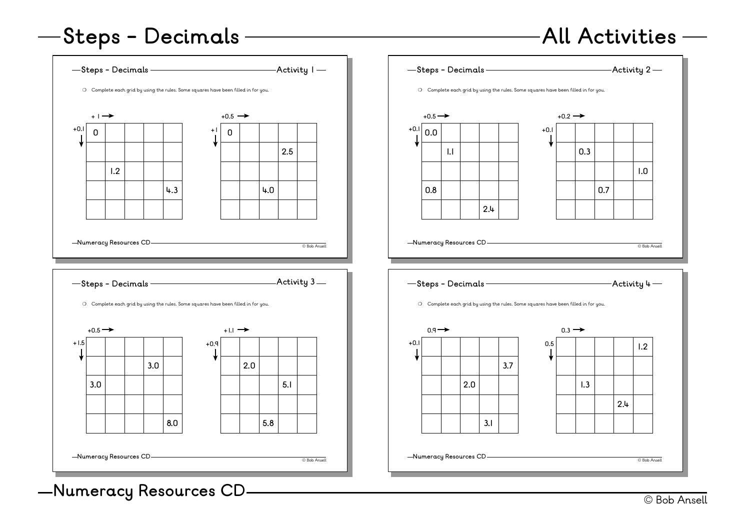# **Steps - Decimals**

### **All Activities**

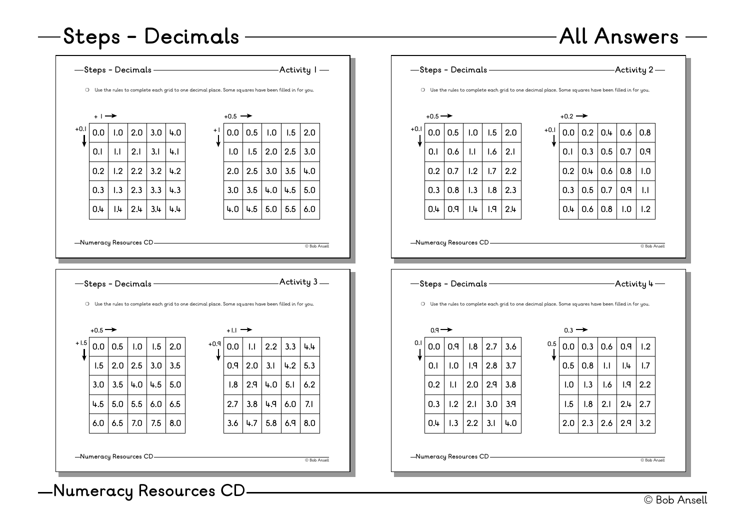# **Steps - Decimals**







![](_page_1_Figure_4.jpeg)

© Bob Ansell **Numeracy Resources CD**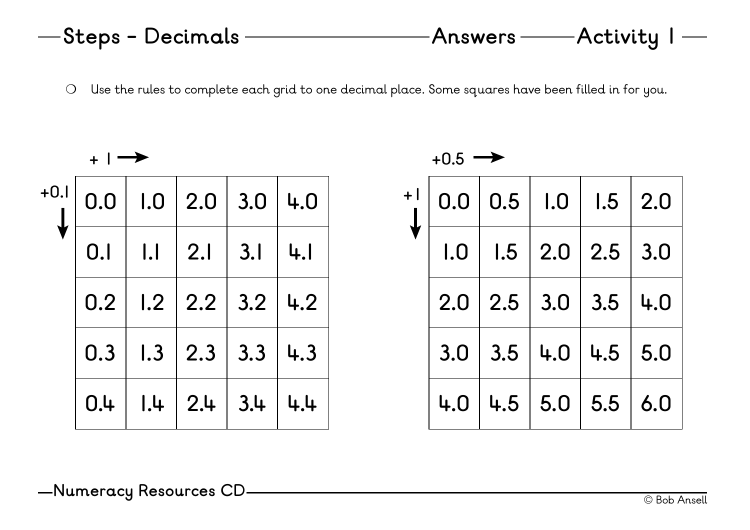❍ Use the rules to complete each grid to one decimal place. Some squares have been filled in for you.

|        | $+$ 1 |              |                             |     |     |  |  |  |
|--------|-------|--------------|-----------------------------|-----|-----|--|--|--|
| $+0.1$ | 0.0   |              | $1.0 \,   2.0$              | 3.0 | 4.0 |  |  |  |
|        | 0.I   | $\mathsf{L}$ | 2.1                         | 3.1 | 4.1 |  |  |  |
|        | 0.2   |              | $1.2$   2.2<br>$\mathbb{R}$ | 3.2 | 4.2 |  |  |  |
|        | 0.3   | 1.3          | $\vert 2.3$                 | 3.3 | 4.3 |  |  |  |
|        | 0.4   | .4           | $\vert 2.4$                 | 3.4 | 4.4 |  |  |  |

 $+0.5 \rightarrow$ 

| $+ $ | 0.0 | 0.5               | 1.0            | 1.5               | 2.0 |
|------|-----|-------------------|----------------|-------------------|-----|
|      | 1.0 |                   | $1.5 \,   2.0$ | $\vert 2.5 \vert$ | 3.0 |
|      | 2.0 | $2.5 \,   \, 3.0$ |                | 3.5               | 4.0 |
|      | 3.0 | 3.5               | 4.0            | 4.5               | 5.0 |
|      | 4.0 | 4.5               | 5.0            | 5.5               | 6.0 |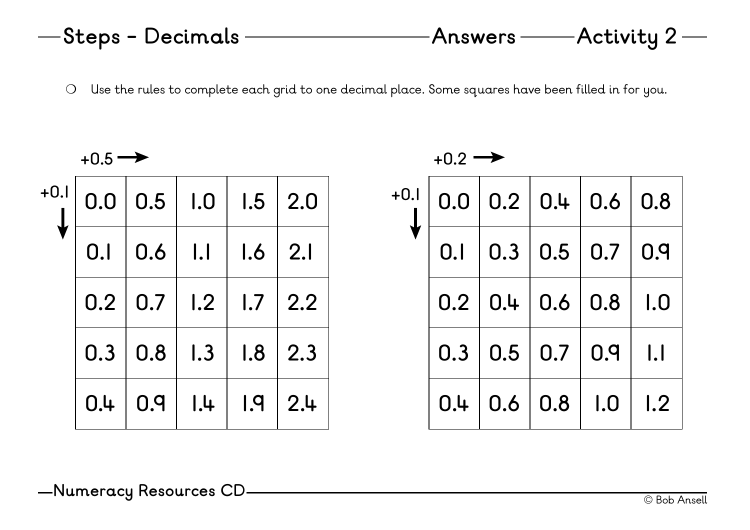❍ Use the rules to complete each grid to one decimal place. Some squares have been filled in for you.

| $+0.5 \rightarrow$ |     |     |              |     |     |  |
|--------------------|-----|-----|--------------|-----|-----|--|
| $+0.1$             | 0.0 | 0.5 | 1.0          | 1.5 | 2.0 |  |
|                    | 0.1 | 0.6 | $\mathsf{L}$ | 1.6 | 2.1 |  |
|                    | 0.2 | 0.7 | 1.2          | 1.7 | 2.2 |  |
|                    | 0.3 | 0.8 | 1.3          | 1.8 | 2.3 |  |
|                    | 0.4 | 0.9 | .            | 1.9 | 2.4 |  |

| $+0.2$ |  |  |
|--------|--|--|
|        |  |  |

| $+0.1$ |     |                 |                               | $0.0$ 0.2 0.4 0.6 0.8                 |              |
|--------|-----|-----------------|-------------------------------|---------------------------------------|--------------|
|        | 0.1 |                 |                               | $\vert 0.3 \vert 0.5 \vert 0.7 \vert$ | 0.9          |
|        |     |                 | $0.2$   $0.4$   $0.6$   $0.8$ |                                       | $\vert$ 1.0  |
|        |     | 0.3   0.5   0.7 |                               | 0.9                                   | $\mathsf{L}$ |
|        |     | 0.4   0.6   0.8 |                               | $\vert$ 1.0                           | 1.2          |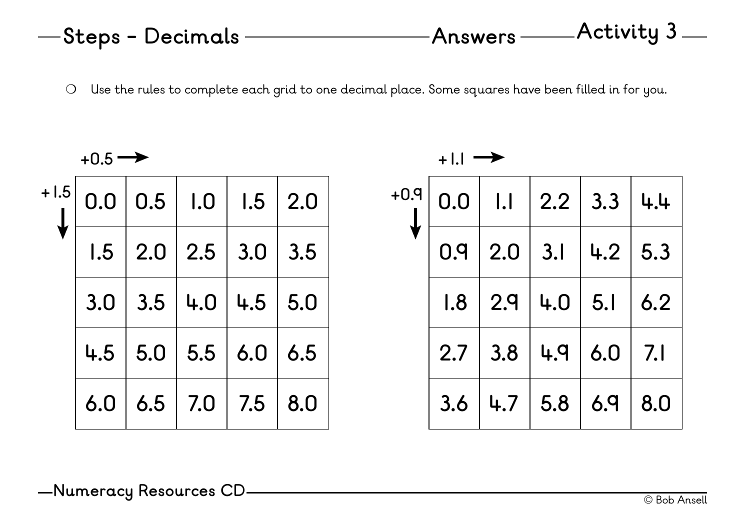❍ Use the rules to complete each grid to one decimal place. Some squares have been filled in for you.

|        | $+0.5 \rightarrow$ |                         |                     |     |     |  |  |  |
|--------|--------------------|-------------------------|---------------------|-----|-----|--|--|--|
| $+1.5$ | 0.0                |                         | $0.5$   $1.0$       | 1.5 | 2.0 |  |  |  |
|        |                    | $1.5$   2.0   2.5   3.0 |                     |     | 3.5 |  |  |  |
|        | 3.0                | 3.5                     | 4.0                 | 4.5 | 5.0 |  |  |  |
|        | 4.5                |                         | $5.0$   $5.5$   6.0 |     | 6.5 |  |  |  |
|        | 6.0                |                         | $6.5$   7.0         | 7.5 | 8.0 |  |  |  |

| $+1.1$ |     |                   |                             |           |     |  |
|--------|-----|-------------------|-----------------------------|-----------|-----|--|
| $+0.9$ | 0.0 | $\mathsf{L}$      | $\vert 2.2 \vert 3.3 \vert$ |           | 4.4 |  |
|        | 0.9 | $\vert 2.0 \vert$ | 3.1                         | 4.2       | 5.3 |  |
|        | 1.8 | $\vert 2.9$       | 4.0   5.1                   |           | 6.2 |  |
|        | 2.7 | 3.8               |                             | 4.9   6.0 | 7.1 |  |
|        | 3.6 | 4.7               | 5.8                         | 6.9       | 8.0 |  |

© Bob Ansell **Numeracy Resources CD**